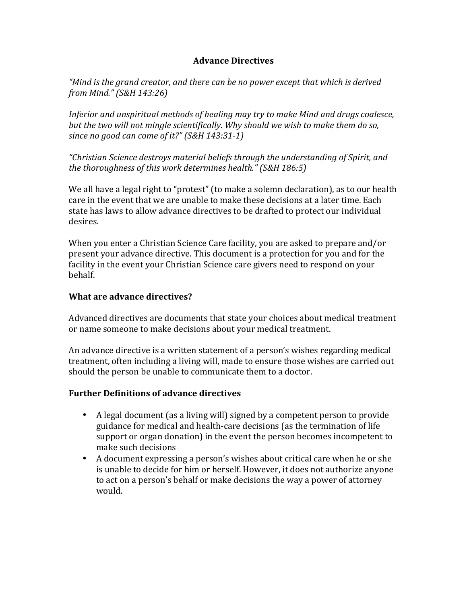## **Advance Directives**

*"Mind is the grand creator, and there can be no power except that which is derived from Mind." (S&H 143:26)*

*Inferior* and unspiritual methods of healing may try to make Mind and drugs coalesce, but the two will not mingle scientifically. Why should we wish to make them do so, since no good can come of it?" (S&H 143:31-1)

*"Christian Science destroys material beliefs through the understanding of Spirit, and the thoroughness of this work determines health."* (S&H 186:5)

We all have a legal right to "protest" (to make a solemn declaration), as to our health care in the event that we are unable to make these decisions at a later time. Each state has laws to allow advance directives to be drafted to protect our individual desires.

When you enter a Christian Science Care facility, you are asked to prepare and/or present your advance directive. This document is a protection for you and for the facility in the event your Christian Science care givers need to respond on your behalf.

## **What are advance directives?**

Advanced directives are documents that state your choices about medical treatment or name someone to make decisions about your medical treatment.

An advance directive is a written statement of a person's wishes regarding medical treatment, often including a living will, made to ensure those wishes are carried out should the person be unable to communicate them to a doctor.

## **Further Definitions of advance directives**

- A legal document (as a living will) signed by a competent person to provide guidance for medical and health-care decisions (as the termination of life support or organ donation) in the event the person becomes incompetent to make such decisions
- A document expressing a person's wishes about critical care when he or she is unable to decide for him or herself. However, it does not authorize anyone to act on a person's behalf or make decisions the way a power of attorney would.